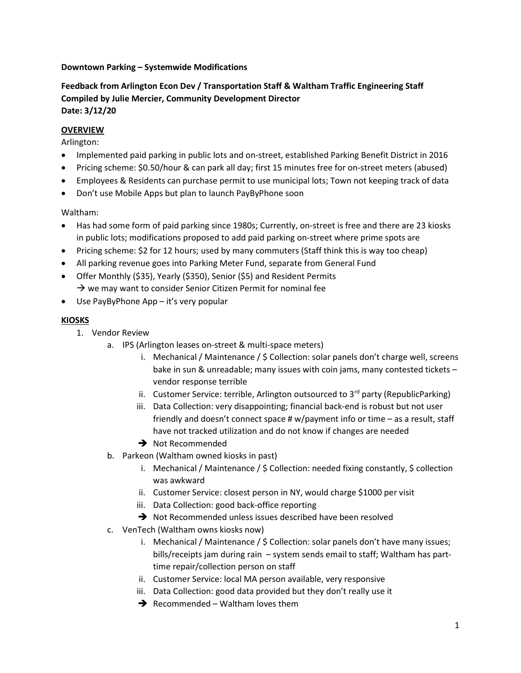## Downtown Parking – Systemwide Modifications

# Feedback from Arlington Econ Dev / Transportation Staff & Waltham Traffic Engineering Staff Compiled by Julie Mercier, Community Development Director Date: 3/12/20

## **OVERVIEW**

Arlington:

- Implemented paid parking in public lots and on-street, established Parking Benefit District in 2016
- Pricing scheme: \$0.50/hour & can park all day; first 15 minutes free for on-street meters (abused)
- Employees & Residents can purchase permit to use municipal lots; Town not keeping track of data
- Don't use Mobile Apps but plan to launch PayByPhone soon

Waltham:

- Has had some form of paid parking since 1980s; Currently, on-street is free and there are 23 kiosks in public lots; modifications proposed to add paid parking on-street where prime spots are
- Pricing scheme: \$2 for 12 hours; used by many commuters (Staff think this is way too cheap)
- All parking revenue goes into Parking Meter Fund, separate from General Fund
- Offer Monthly (\$35), Yearly (\$350), Senior (\$5) and Resident Permits
- $\rightarrow$  we may want to consider Senior Citizen Permit for nominal fee
- Use PayByPhone App it's very popular

## KIOSKS

- 1. Vendor Review
	- a. IPS (Arlington leases on-street & multi-space meters)
		- i. Mechanical / Maintenance / \$ Collection: solar panels don't charge well, screens bake in sun & unreadable; many issues with coin jams, many contested tickets – vendor response terrible
		- ii. Customer Service: terrible, Arlington outsourced to  $3^{rd}$  party (RepublicParking)
		- iii. Data Collection: very disappointing; financial back-end is robust but not user friendly and doesn't connect space # w/payment info or time – as a result, staff have not tracked utilization and do not know if changes are needed
		- → Not Recommended
	- b. Parkeon (Waltham owned kiosks in past)
		- i. Mechanical / Maintenance /  $\zeta$  Collection: needed fixing constantly,  $\zeta$  collection was awkward
		- ii. Customer Service: closest person in NY, would charge \$1000 per visit
		- iii. Data Collection: good back-office reporting
		- → Not Recommended unless issues described have been resolved
	- c. VenTech (Waltham owns kiosks now)
		- i. Mechanical / Maintenance / \$ Collection: solar panels don't have many issues; bills/receipts jam during rain – system sends email to staff; Waltham has parttime repair/collection person on staff
		- ii. Customer Service: local MA person available, very responsive
		- iii. Data Collection: good data provided but they don't really use it
		- $\rightarrow$  Recommended Waltham loves them